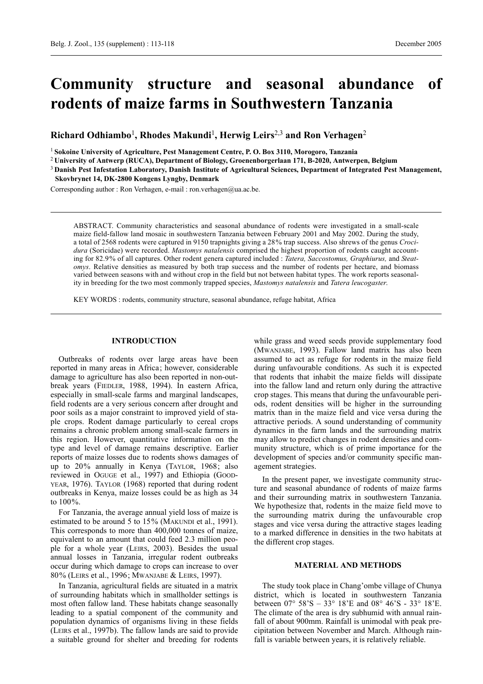# **Community structure and seasonal abundance of rodents of maize farms in Southwestern Tanzania**

**Richard Odhiambo**1**, Rhodes Makundi**1**, Herwig Leirs**2,3 **and Ron Verhagen**<sup>2</sup>

<sup>1</sup> **Sokoine University of Agriculture, Pest Management Centre, P. O. Box 3110, Morogoro, Tanzania**

<sup>2</sup> **University of Antwerp (RUCA), Department of Biology, Groenenborgerlaan 171, B-2020, Antwerpen, Belgium**

<sup>3</sup> **Danish Pest Infestation Laboratory, Danish Institute of Agricultural Sciences, Department of Integrated Pest Management, Skovbrynet 14, DK-2800 Kongens Lyngby, Denmark**

Corresponding author : Ron Verhagen, e-mail : ron.verhagen@ua.ac.be.

ABSTRACT. Community characteristics and seasonal abundance of rodents were investigated in a small-scale maize field-fallow land mosaic in southwestern Tanzania between February 2001 and May 2002. During the study, a total of 2568 rodents were captured in 9150 trapnights giving a 28% trap success. Also shrews of the genus *Crocidura* (Soricidae) were recorded. *Mastomys natalensis* comprised the highest proportion of rodents caught accounting for 82.9% of all captures. Other rodent genera captured included : *Tatera, Saccostomus, Graphiurus,* and *Steatomys*. Relative densities as measured by both trap success and the number of rodents per hectare, and biomass varied between seasons with and without crop in the field but not between habitat types. The work reports seasonality in breeding for the two most commonly trapped species, *Mastomys natalensis* and *Tatera leucogaster*.

KEY WORDS : rodents, community structure, seasonal abundance, refuge habitat, Africa

# **INTRODUCTION**

Outbreaks of rodents over large areas have been reported in many areas in Africa; however, considerable damage to agriculture has also been reported in non-outbreak years (FIEDLER, 1988, 1994). In eastern Africa, especially in small-scale farms and marginal landscapes, field rodents are a very serious concern after drought and poor soils as a major constraint to improved yield of staple crops. Rodent damage particularly to cereal crops remains a chronic problem among small-scale farmers in this region. However, quantitative information on the type and level of damage remains descriptive. Earlier reports of maize losses due to rodents shows damages of up to 20% annually in Kenya (TAYLOR, 1968; also reviewed in OGUGE et al., 1997) and Ethiopia (GOOD-YEAR, 1976). TAYLOR (1968) reported that during rodent outbreaks in Kenya, maize losses could be as high as 34 to 100%.

For Tanzania, the average annual yield loss of maize is estimated to be around 5 to 15% (MAKUNDI et al., 1991). This corresponds to more than 400,000 tonnes of maize, equivalent to an amount that could feed 2.3 million people for a whole year (LEIRS, 2003). Besides the usual annual losses in Tanzania, irregular rodent outbreaks occur during which damage to crops can increase to over 80% (LEIRS et al., 1996; MWANJABE & LEIRS, 1997).

In Tanzania, agricultural fields are situated in a matrix of surrounding habitats which in smallholder settings is most often fallow land. These habitats change seasonally leading to a spatial component of the community and population dynamics of organisms living in these fields (LEIRS et al., 1997b). The fallow lands are said to provide a suitable ground for shelter and breeding for rodents

while grass and weed seeds provide supplementary food (MWANJABE, 1993). Fallow land matrix has also been assumed to act as refuge for rodents in the maize field during unfavourable conditions. As such it is expected that rodents that inhabit the maize fields will dissipate into the fallow land and return only during the attractive crop stages. This means that during the unfavourable periods, rodent densities will be higher in the surrounding matrix than in the maize field and vice versa during the attractive periods. A sound understanding of community dynamics in the farm lands and the surrounding matrix may allow to predict changes in rodent densities and community structure, which is of prime importance for the development of species and/or community specific management strategies.

In the present paper, we investigate community structure and seasonal abundance of rodents of maize farms and their surrounding matrix in southwestern Tanzania. We hypothesize that, rodents in the maize field move to the surrounding matrix during the unfavourable crop stages and vice versa during the attractive stages leading to a marked difference in densities in the two habitats at the different crop stages.

# **MATERIAL AND METHODS**

The study took place in Chang'ombe village of Chunya district, which is located in southwestern Tanzania between 07° 58'S – 33° 18'E and 08° 46'S - 33° 18'E. The climate of the area is dry subhumid with annual rainfall of about 900mm. Rainfall is unimodal with peak precipitation between November and March. Although rainfall is variable between years, it is relatively reliable.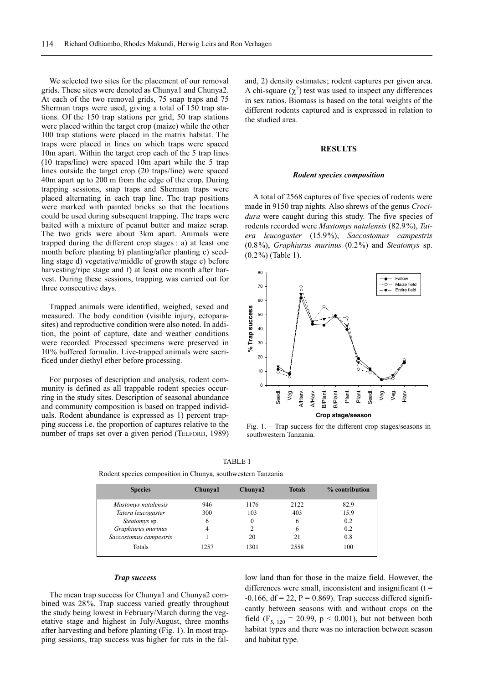We selected two sites for the placement of our removal grids. These sites were denoted as Chunya1 and Chunya2. At each of the two removal grids, 75 snap traps and 75 Sherman traps were used, giving a total of 150 trap stations. Of the 150 trap stations per grid, 50 trap stations were placed within the target crop (maize) while the other 100 trap stations were placed in the matrix habitat. The traps were placed in lines on which traps were spaced 10m apart. Within the target crop each of the 5 trap lines (10 traps/line) were spaced 10m apart while the 5 trap lines outside the target crop (20 traps/line) were spaced 40m apart up to 200 m from the edge of the crop. During trapping sessions, snap traps and Sherman traps were placed alternating in each trap line. The trap positions were marked with painted bricks so that the locations could be used during subsequent trapping. The traps were baited with a mixture of peanut butter and maize scrap. The two grids were about 3km apart. Animals were trapped during the different crop stages : a) at least one month before planting b) planting/after planting c) seedling stage d) vegetative/middle of growth stage e) before harvesting/ripe stage and f) at least one month after harvest. During these sessions, trapping was carried out for three consecutive days.

Trapped animals were identified, weighed, sexed and measured. The body condition (visible injury, ectoparasites) and reproductive condition were also noted. In addition, the point of capture, date and weather conditions were recorded. Processed specimens were preserved in 10% buffered formalin. Live-trapped animals were sacrificed under diethyl ether before processing.

For purposes of description and analysis, rodent community is defined as all trappable rodent species occurring in the study sites. Description of seasonal abundance and community composition is based on trapped individuals. Rodent abundance is expressed as 1) percent trapping success i.e. the proportion of captures relative to the number of traps set over a given period (TELFORD, 1989) and, 2) density estimates; rodent captures per given area. A chi-square  $(\chi^2)$  test was used to inspect any differences in sex ratios. Biomass is based on the total weights of the different rodents captured and is expressed in relation to the studied area.

# **RESULTS**

#### *Rodent species composition*

A total of 2568 captures of five species of rodents were made in 9150 trap nights. Also shrews of the genus *Crocidura* were caught during this study. The five species of rodents recorded were *Mastomys natalensis* (82.9%), *Tatera leucogaster* (15.9%), *Saccostomus campestris* (0.8%), *Graphiurus murinus* (0.2%) and *Steatomys* sp. (0.2%) (Table 1).



Fig. 1. – Trap success for the different crop stages/seasons in southwestern Tanzania.

| ABL. |  |
|------|--|
|------|--|

| <b>Species</b>         | Chunya1 | Chunya2 | <b>Totals</b> | % contribution |
|------------------------|---------|---------|---------------|----------------|
| Mastomys natalensis    | 946     | 1176    | 2122          | 82.9           |
| Tatera leucogaster     | 300     | 103     | 403           | 15.9           |
| Steatomys sp.          | 6       | 0       | 6             | 0.2            |
| Graphiurus murinus     |         |         | 6             | 0.2            |
| Saccostomus campestris |         | 20      | 21            | 0.8            |
| Totals                 | 1257    | 1301    | 2558          | 100            |

Rodent species composition in Chunya, southwestern Tanzania

#### *Trap success*

The mean trap success for Chunya1 and Chunya2 combined was 28%. Trap success varied greatly throughout the study being lowest in February/March during the vegetative stage and highest in July/August, three months after harvesting and before planting (Fig. 1). In most trapping sessions, trap success was higher for rats in the fal-

low land than for those in the maize field. However, the differences were small, inconsistent and insignificant  $(t =$  $-0.166$ , df = 22, P = 0.869). Trap success differed significantly between seasons with and without crops on the field ( $F_{5, 120} = 20.99$ ,  $p < 0.001$ ), but not between both habitat types and there was no interaction between season and habitat type.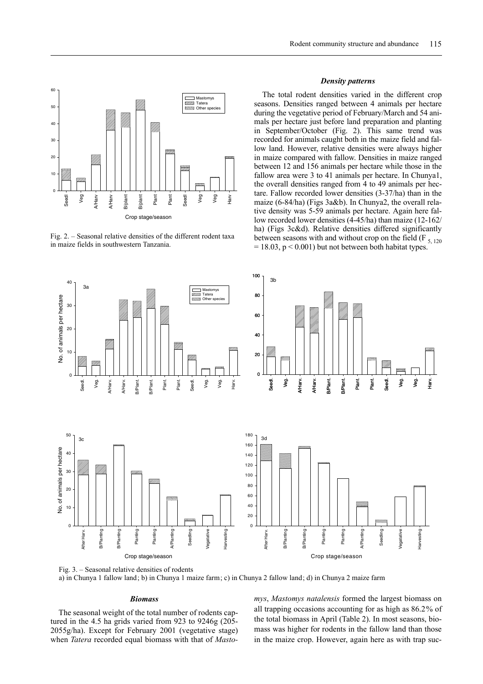

Fig. 2. – Seasonal relative densities of the different rodent taxa in maize fields in southwestern Tanzania.

#### *Density patterns*

The total rodent densities varied in the different crop seasons. Densities ranged between 4 animals per hectare during the vegetative period of February/March and 54 animals per hectare just before land preparation and planting in September/October (Fig. 2). This same trend was recorded for animals caught both in the maize field and fallow land. However, relative densities were always higher in maize compared with fallow. Densities in maize ranged between 12 and 156 animals per hectare while those in the fallow area were 3 to 41 animals per hectare. In Chunya1, the overall densities ranged from 4 to 49 animals per hectare. Fallow recorded lower densities (3-37/ha) than in the maize (6-84/ha) (Figs 3a&b). In Chunya2, the overall relative density was 5-59 animals per hectare. Again here fallow recorded lower densities (4-45/ha) than maize (12-162/ ha) (Figs 3c&d). Relative densities differed significantly between seasons with and without crop on the field  $(F_{5, 120})$  $= 18.03$ ,  $p < 0.001$ ) but not between both habitat types.



a) in Chunya 1 fallow land; b) in Chunya 1 maize farm; c) in Chunya 2 fallow land; d) in Chunya 2 maize farm

# *Biomass*

The seasonal weight of the total number of rodents captured in the 4.5 ha grids varied from 923 to 9246g (205- 2055g/ha). Except for February 2001 (vegetative stage) when *Tatera* recorded equal biomass with that of *Masto-* *mys*, *Mastomys natalensis* formed the largest biomass on all trapping occasions accounting for as high as 86.2% of the total biomass in April (Table 2). In most seasons, biomass was higher for rodents in the fallow land than those in the maize crop. However, again here as with trap suc-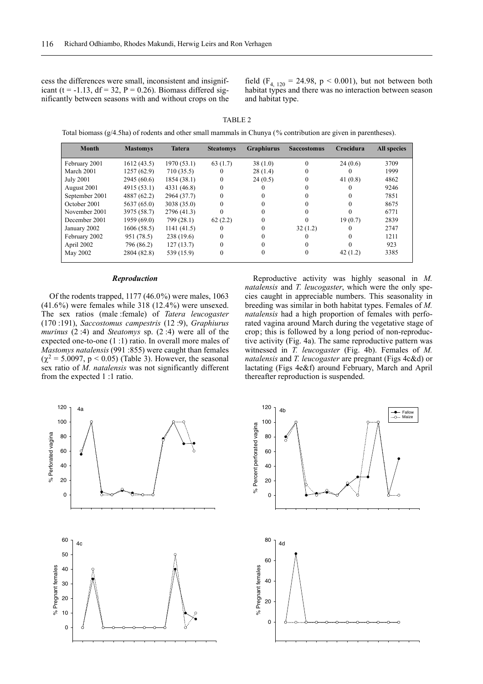cess the differences were small, inconsistent and insignificant (t = -1.13, df = 32, P = 0.26). Biomass differed significantly between seasons with and without crops on the

field  $(F_{4, 120} = 24.98, p < 0.001)$ , but not between both habitat types and there was no interaction between season and habitat type.

| TABI. |  |
|-------|--|
|       |  |

Total biomass (g/4.5ha) of rodents and other small mammals in Chunya (% contribution are given in parentheses).

| <b>Month</b>     | <b>Mastomys</b> | <b>Tatera</b> | <b>Steatomys</b> | <b>Graphiurus</b> | <b>Saccostomus</b> | Crocidura | <b>All species</b> |
|------------------|-----------------|---------------|------------------|-------------------|--------------------|-----------|--------------------|
| February 2001    | 1612(43.5)      | 1970(53.1)    | 63(1.7)          | 38(1.0)           | $\theta$           | 24(0.6)   | 3709               |
| March 2001       | 1257(62.9)      | 710 (35.5)    | $_{0}$           | 28(1.4)           | $\Omega$           |           | 1999               |
| <b>July 2001</b> | 2945 (60.6)     | 1854(38.1)    |                  | 24(0.5)           | 0                  | 41(0.8)   | 4862               |
| August 2001      | 4915 (53.1)     | 4331 (46.8)   | $\Omega$         |                   |                    |           | 9246               |
| September 2001   | 4887 (62.2)     | 2964 (37.7)   |                  |                   |                    |           | 7851               |
| October 2001     | 5637 (65.0)     | 3038 (35.0)   | $\theta$         |                   |                    |           | 8675               |
| November 2001    | 3975 (58.7)     | 2796 (41.3)   |                  |                   | $\Omega$           |           | 6771               |
| December 2001    | 1959 (69.0)     | 799 (28.1)    | 62(2.2)          |                   | $\Omega$           | 19(0.7)   | 2839               |
| January 2002     | 1606(58.5)      | 1141(41.5)    | $_{0}$           |                   | 32(1.2)            | $\Omega$  | 2747               |
| February 2002    | 951 (78.5)      | 238 (19.6)    |                  |                   |                    |           | 1211               |
| April 2002       | 796 (86.2)      | 127(13.7)     | 0                |                   | 0                  |           | 923                |
| May 2002         | 2804 (82.8)     | 539 (15.9)    | 0                |                   | $\mathbf{0}$       | 42(1.2)   | 3385               |

#### *Reproduction*

Of the rodents trapped, 1177 (46.0%) were males, 1063 (41.6%) were females while 318 (12.4%) were unsexed. The sex ratios (male :female) of *Tatera leucogaster* (170 :191), *Saccostomus campestris* (12 :9), *Graphiurus murinus* (2 :4) and *Steatomys* sp. (2 :4) were all of the expected one-to-one (1 :1) ratio. In overall more males of *Mastomys natalensis* (991 :855) were caught than females  $(\chi^2 = 5.0097, p < 0.05)$  (Table 3). However, the seasonal sex ratio of *M. natalensis* was not significantly different from the expected 1 :1 ratio.

Reproductive activity was highly seasonal in *M. natalensis* and *T. leucogaster*, which were the only species caught in appreciable numbers. This seasonality in breeding was similar in both habitat types. Females of *M. natalensis* had a high proportion of females with perforated vagina around March during the vegetative stage of crop; this is followed by a long period of non-reproductive activity (Fig. 4a). The same reproductive pattern was witnessed in *T. leucogaster* (Fig. 4b). Females of *M. natalensis* and *T. leucogaster* are pregnant (Figs 4c&d) or lactating (Figs 4e&f) around February, March and April thereafter reproduction is suspended.



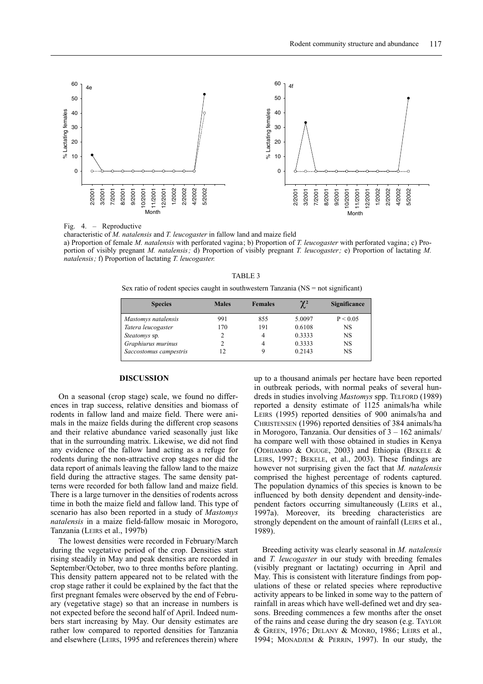

Fig. 4. – Reproductive

characteristic of *M. natalensis* and *T. leucogaster* in fallow land and maize field a) Proportion of female *M. natalensis* with perforated vagina; b) Proportion of *T. leucogaster* with perforated vagina; c) Proportion of visibly pregnant *M. natalensis;* d) Proportion of visibly pregnant *T. leucogaster;* e) Proportion of lactating *M. natalensis;* f) Proportion of lactating *T. leucogaster.*

| TABLE 3                                                                              |  |
|--------------------------------------------------------------------------------------|--|
| Sex ratio of rodent species caught in southwestern Tanzania $(NS = not$ significant) |  |

| <b>Species</b>         | <b>Males</b> | <b>Females</b> | $\gamma$ <sup>2</sup> | <b>Significance</b> |
|------------------------|--------------|----------------|-----------------------|---------------------|
| Mastomys natalensis    | 991          | 855            | 5.0097                | P < 0.05            |
| Tatera leucogaster     | 170          | 191            | 0.6108                | NS                  |
| <i>Steatomys</i> sp.   | 2            | 4              | 0.3333                | NS                  |
| Graphiurus murinus     | 2            | 4              | 0.3333                | NS                  |
| Saccostomus campestris | 12           | 9              | 0.2143                | NS                  |

# **DISCUSSION**

On a seasonal (crop stage) scale, we found no differences in trap success, relative densities and biomass of rodents in fallow land and maize field. There were animals in the maize fields during the different crop seasons and their relative abundance varied seasonally just like that in the surrounding matrix. Likewise, we did not find any evidence of the fallow land acting as a refuge for rodents during the non-attractive crop stages nor did the data report of animals leaving the fallow land to the maize field during the attractive stages. The same density patterns were recorded for both fallow land and maize field. There is a large turnover in the densities of rodents across time in both the maize field and fallow land. This type of scenario has also been reported in a study of *Mastomys natalensis* in a maize field-fallow mosaic in Morogoro, Tanzania (LEIRS et al., 1997b)

The lowest densities were recorded in February/March during the vegetative period of the crop. Densities start rising steadily in May and peak densities are recorded in September/October, two to three months before planting. This density pattern appeared not to be related with the crop stage rather it could be explained by the fact that the first pregnant females were observed by the end of February (vegetative stage) so that an increase in numbers is not expected before the second half of April. Indeed numbers start increasing by May. Our density estimates are rather low compared to reported densities for Tanzania and elsewhere (LEIRS, 1995 and references therein) where up to a thousand animals per hectare have been reported in outbreak periods, with normal peaks of several hundreds in studies involving *Mastomys* spp. TELFORD (1989) reported a density estimate of 1125 animals/ha while LEIRS (1995) reported densities of 900 animals/ha and CHRISTENSEN (1996) reported densities of 384 animals/ha in Morogoro, Tanzania. Our densities of 3 – 162 animals/ ha compare well with those obtained in studies in Kenya (ODHIAMBO & OGUGE, 2003) and Ethiopia (BEKELE & LEIRS, 1997; BEKELE, et al., 2003). These findings are however not surprising given the fact that *M. natalensis* comprised the highest percentage of rodents captured. The population dynamics of this species is known to be influenced by both density dependent and density-independent factors occurring simultaneously (LEIRS et al., 1997a). Moreover, its breeding characteristics are strongly dependent on the amount of rainfall (LEIRS et al., 1989).

Breeding activity was clearly seasonal in *M. natalensis* and *T. leucogaster* in our study with breeding females (visibly pregnant or lactating) occurring in April and May. This is consistent with literature findings from populations of these or related species where reproductive activity appears to be linked in some way to the pattern of rainfall in areas which have well-defined wet and dry seasons. Breeding commences a few months after the onset of the rains and cease during the dry season (e.g. TAYLOR & GREEN, 1976; DELANY & MONRO, 1986; LEIRS et al., 1994; MONADJEM & PERRIN, 1997). In our study, the